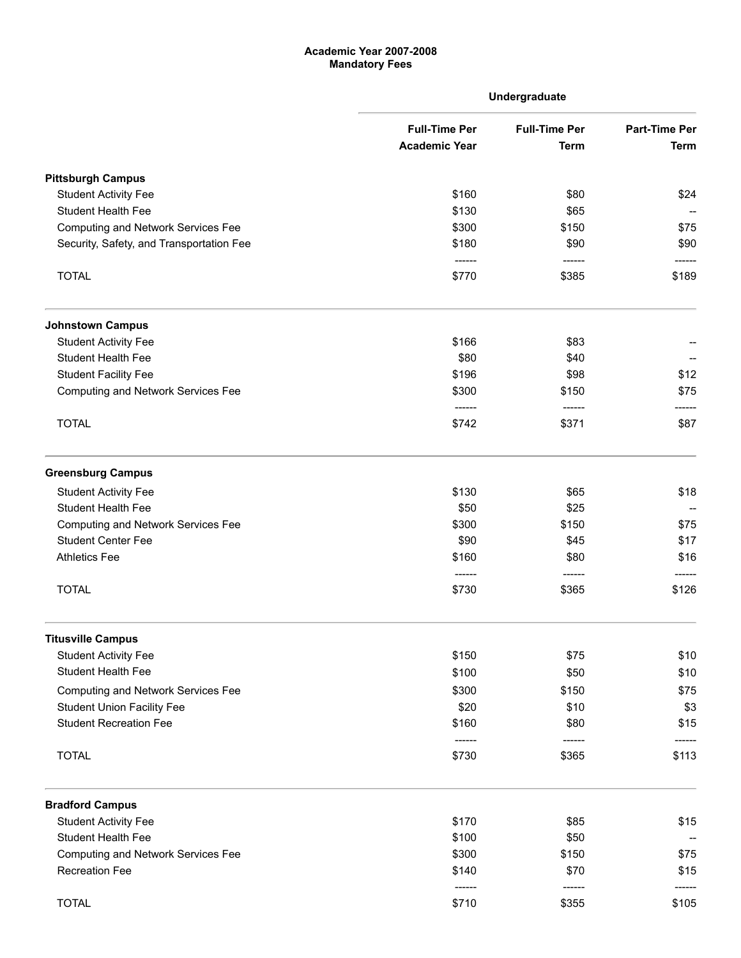## Academic Year 2007-2008 Mandatory Fees

|                                           |                      | Undergraduate                       |                                     |
|-------------------------------------------|----------------------|-------------------------------------|-------------------------------------|
|                                           | <b>Full-Time Per</b> | <b>Full-Time Per</b><br><b>Term</b> | <b>Part-Time Per</b><br><b>Term</b> |
|                                           | <b>Academic Year</b> |                                     |                                     |
| <b>Pittsburgh Campus</b>                  |                      |                                     |                                     |
| <b>Student Activity Fee</b>               | \$160                | \$80                                | \$24                                |
| Student Health Fee                        | \$130                | \$65                                |                                     |
| <b>Computing and Network Services Fee</b> | \$300<br>\$180       | \$150<br>\$90                       | \$75<br>\$90                        |
| Security, Safety, and Transportation Fee  |                      |                                     |                                     |
| <b>TOTAL</b>                              | $-----1$<br>\$770    | ------<br>\$385                     | \$189                               |
| <b>Johnstown Campus</b>                   |                      |                                     |                                     |
| <b>Student Activity Fee</b>               | \$166                | \$83                                |                                     |
| <b>Student Health Fee</b>                 | \$80                 | \$40                                |                                     |
| <b>Student Facility Fee</b>               | \$196                | \$98                                | \$12                                |
| <b>Computing and Network Services Fee</b> | \$300                | \$150                               | \$75                                |
| <b>TOTAL</b>                              | -------<br>\$742     | ------<br>\$371                     | \$87                                |
| <b>Greensburg Campus</b>                  |                      |                                     |                                     |
| <b>Student Activity Fee</b>               | \$130                | \$65                                | \$18                                |
| <b>Student Health Fee</b>                 | \$50                 | \$25                                |                                     |
| <b>Computing and Network Services Fee</b> | \$300                | \$150                               | \$75                                |
| <b>Student Center Fee</b>                 | \$90                 | \$45                                | \$17                                |
| <b>Athletics Fee</b>                      | \$160                | \$80<br>------                      | \$16                                |
| <b>TOTAL</b>                              | \$730                | \$365                               | \$126                               |
| <b>Titusville Campus</b>                  |                      |                                     |                                     |
| <b>Student Activity Fee</b>               | \$150                | \$75                                | \$10                                |
| <b>Student Health Fee</b>                 | \$100                | \$50                                | \$10                                |
| <b>Computing and Network Services Fee</b> | \$300                | \$150                               | \$75                                |
| <b>Student Union Facility Fee</b>         | \$20                 | \$10                                | \$3                                 |
| <b>Student Recreation Fee</b>             | \$160                | \$80                                | \$15                                |
| <b>TOTAL</b>                              | ------<br>\$730      | ------<br>\$365                     | -----<br>\$113                      |
| <b>Bradford Campus</b>                    |                      |                                     |                                     |
| <b>Student Activity Fee</b>               | \$170                | \$85                                | \$15                                |
| <b>Student Health Fee</b>                 | \$100                | \$50                                |                                     |
| <b>Computing and Network Services Fee</b> | \$300                | \$150                               | \$75                                |
| <b>Recreation Fee</b>                     | \$140<br>------      | \$70<br>------                      | \$15                                |
| <b>TOTAL</b>                              | \$710                | \$355                               | \$105                               |